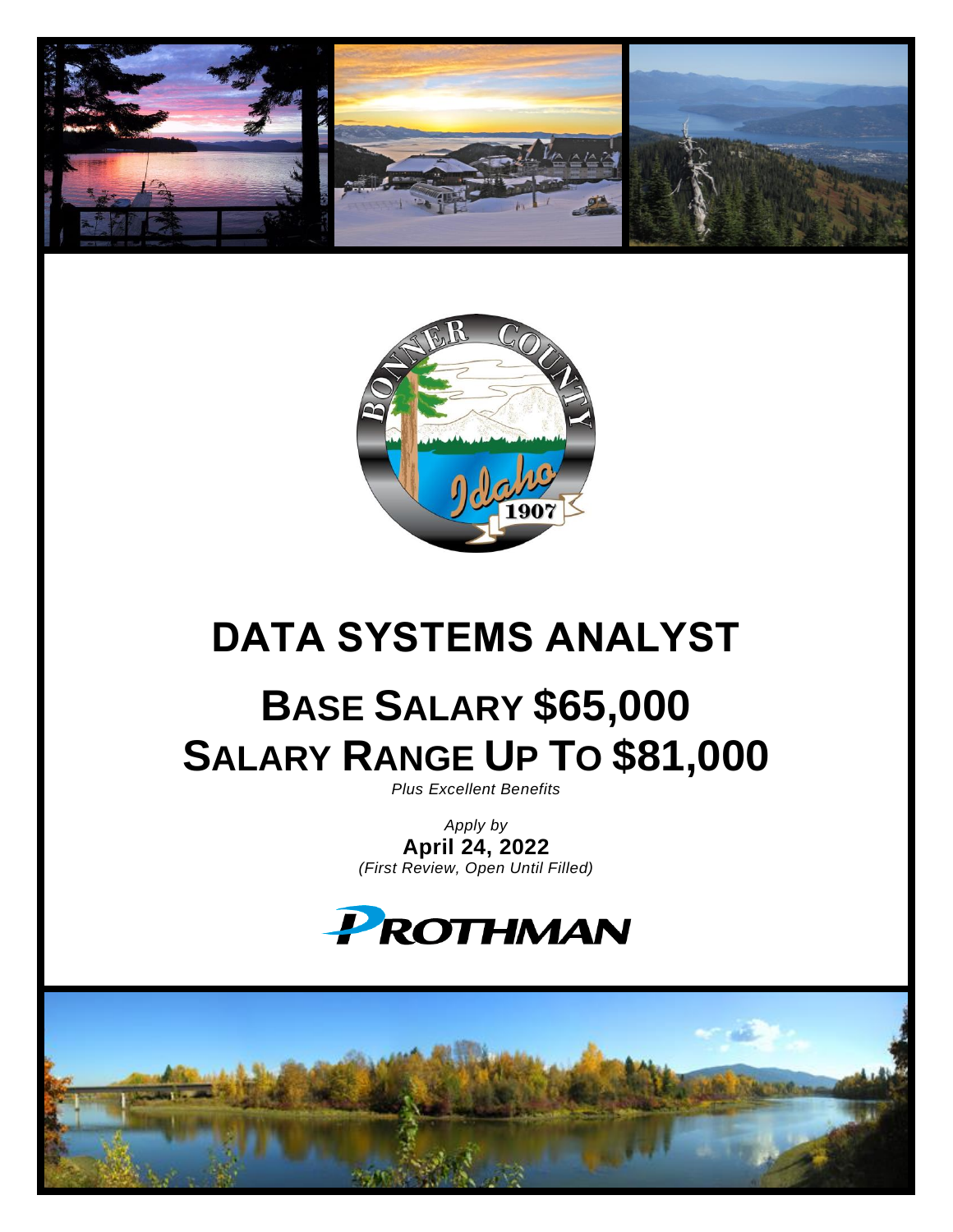



# **DATA SYSTEMS ANALYST**

# **BASE SALARY \$65,000 SALARY RANGE UP TO \$81,000**

*Plus Excellent Benefits*

*Apply by* **April 24, 2022** *(First Review, Open Until Filled)*

# PROTHMAN

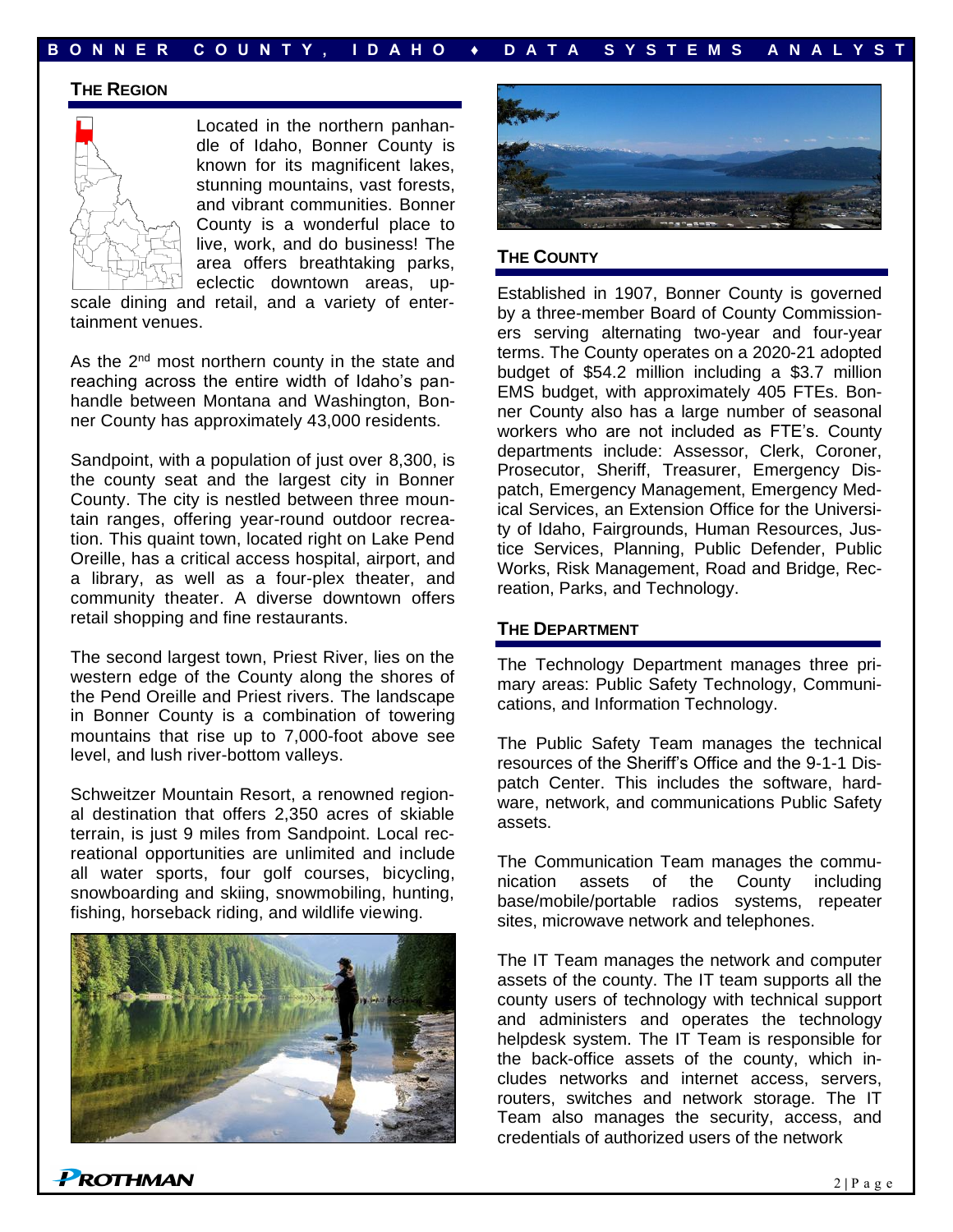## **B O N N E R C O U N T Y , I D A H O ♦ D A T A S Y S T E M S A N A L Y S T**

#### **THE REGION**



Located in the northern panhandle of Idaho, Bonner County is known for its magnificent lakes, stunning mountains, vast forests, and vibrant communities. Bonner County is a wonderful place to live, work, and do business! The area offers breathtaking parks, eclectic downtown areas, up-

scale dining and retail, and a variety of entertainment venues.

As the 2<sup>nd</sup> most northern county in the state and reaching across the entire width of Idaho's panhandle between Montana and Washington, Bonner County has approximately 43,000 residents.

Sandpoint, with a population of just over 8,300, is the county seat and the largest city in Bonner County. The city is nestled between three mountain ranges, offering year-round outdoor recreation. This quaint town, located right on Lake Pend Oreille, has a critical access hospital, airport, and a library, as well as a four-plex theater, and community theater. A diverse downtown offers retail shopping and fine restaurants.

The second largest town, Priest River, lies on the western edge of the County along the shores of the Pend Oreille and Priest rivers. The landscape in Bonner County is a combination of towering mountains that rise up to 7,000-foot above see level, and lush river-bottom valleys.

Schweitzer Mountain Resort, a renowned regional destination that offers 2,350 acres of skiable terrain, is just 9 miles from Sandpoint. Local recreational opportunities are unlimited and include all water sports, four golf courses, bicycling, snowboarding and skiing, snowmobiling, hunting, fishing, horseback riding, and wildlife viewing.





#### **THE COUNTY**

Established in 1907, Bonner County is governed by a three-member Board of County Commissioners serving alternating two-year and four-year terms. The County operates on a 2020-21 adopted budget of \$54.2 million including a \$3.7 million EMS budget, with approximately 405 FTEs. Bonner County also has a large number of seasonal workers who are not included as FTE's. County departments include: Assessor, Clerk, Coroner, Prosecutor, Sheriff, Treasurer, Emergency Dispatch, Emergency Management, Emergency Medical Services, an Extension Office for the University of Idaho, Fairgrounds, Human Resources, Justice Services, Planning, Public Defender, Public Works, Risk Management, Road and Bridge, Recreation, Parks, and Technology.

#### **THE DEPARTMENT**

The Technology Department manages three primary areas: Public Safety Technology, Communications, and Information Technology.

The Public Safety Team manages the technical resources of the Sheriff's Office and the 9-1-1 Dispatch Center. This includes the software, hardware, network, and communications Public Safety assets.

The Communication Team manages the communication assets of the County including base/mobile/portable radios systems, repeater sites, microwave network and telephones.

The IT Team manages the network and computer assets of the county. The IT team supports all the county users of technology with technical support and administers and operates the technology helpdesk system. The IT Team is responsible for the back-office assets of the county, which includes networks and internet access, servers, routers, switches and network storage. The IT Team also manages the security, access, and credentials of authorized users of the network

**PROTHMAN**